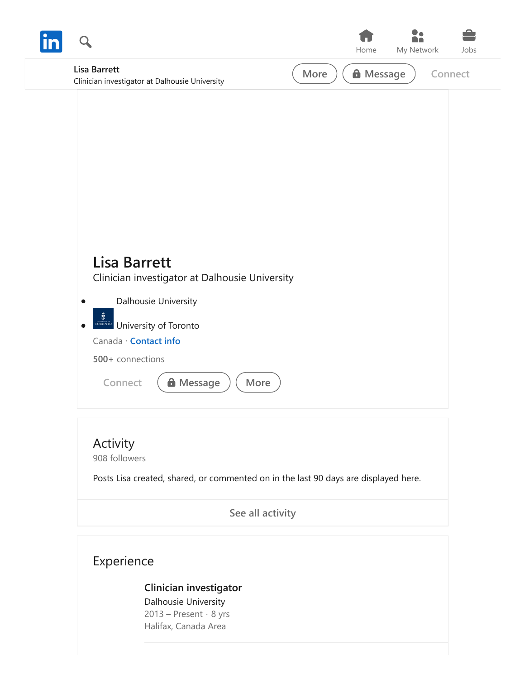|                                                                       |      | Home             | ۰<br>My Network | Jobs    |
|-----------------------------------------------------------------------|------|------------------|-----------------|---------|
| <b>Lisa Barrett</b><br>Clinician investigator at Dalhousie University | More | <b>A</b> Message |                 | Connect |
|                                                                       |      |                  |                 |         |
|                                                                       |      |                  |                 |         |
|                                                                       |      |                  |                 |         |
|                                                                       |      |                  |                 |         |
|                                                                       |      |                  |                 |         |
| <b>Lisa Barrett</b><br>Clinician investigator at Dalhousie University |      |                  |                 |         |
| Dalhousie University                                                  |      |                  |                 |         |
| <b>TORONTO</b> University of Toronto<br>$\bullet$                     |      |                  |                 |         |
| Canada · Contact info<br>500+ connections                             |      |                  |                 |         |
| <b>A</b> Message<br>More<br>Connect                                   |      |                  |                 |         |
|                                                                       |      |                  |                 |         |

## Activity 908 followers

Posts Lisa created, shared, or commented on in the last 90 days are displayed here.

**[See all activity](https://www.linkedin.com/in/lisa-barrett-36348126/detail/recent-activity/)**

## Experience

## **[Clinician investigator](https://www.linkedin.com/search/results/all/?keywords=Dalhousie%20University)**

Dalhousie University 2013 – Present · 8 yrs Halifax, Canada Area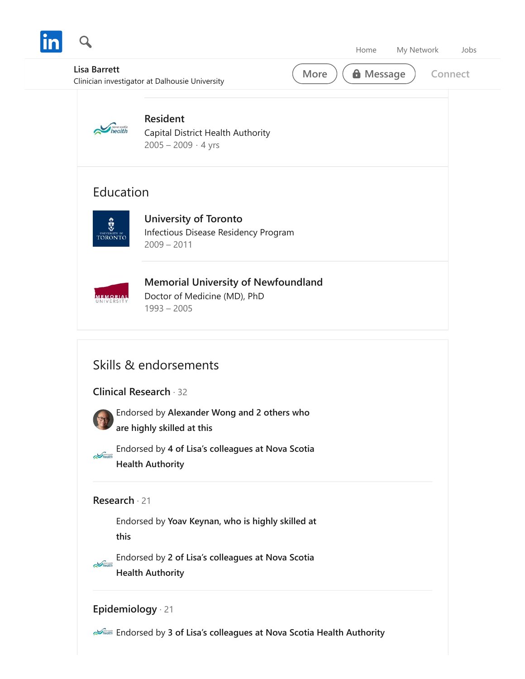

Endorsed by **[2 of Lisa's colleagues at Nova Scotia](https://www.linkedin.com/in/lisa-barrett-36348126/detail/skills/(ACoAAAVooLsBBBaQFAro_i26xo266GjBGT0JdDY,537915004)/shared-entity-company/)**  $\sum$ health **Health Authority**

## **[Epidemiology](https://www.linkedin.com/in/lisa-barrett-36348126/detail/skills/(ACoAAAVooLsBBBaQFAro_i26xo266GjBGT0JdDY,537915012)/)** [21](https://www.linkedin.com/in/lisa-barrett-36348126/detail/skills/(ACoAAAVooLsBBBaQFAro_i26xo266GjBGT0JdDY,537915012)/)

**Endorsed by [3 of Lisa's colleagues at Nova Scotia Health Authority](https://www.linkedin.com/in/lisa-barrett-36348126/detail/skills/(ACoAAAVooLsBBBaQFAro_i26xo266GjBGT0JdDY,537915012)/shared-entity-company/)**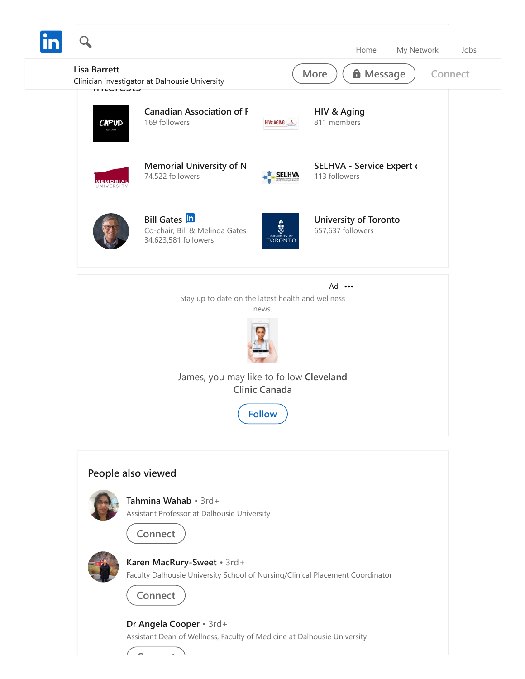

[Faculty Dalhousie University School of Nursing/Clinical Placement Coordinator](https://www.linkedin.com/in/karen-macrury-sweet-40b0414a/)

**Connect**

**C t**

**Dr Angela Cooper** • 3rd+ [Assistant Dean of Wellness, Faculty of Medicine at Dalhousie University](https://www.linkedin.com/in/dr-angela-cooper-9879b556/)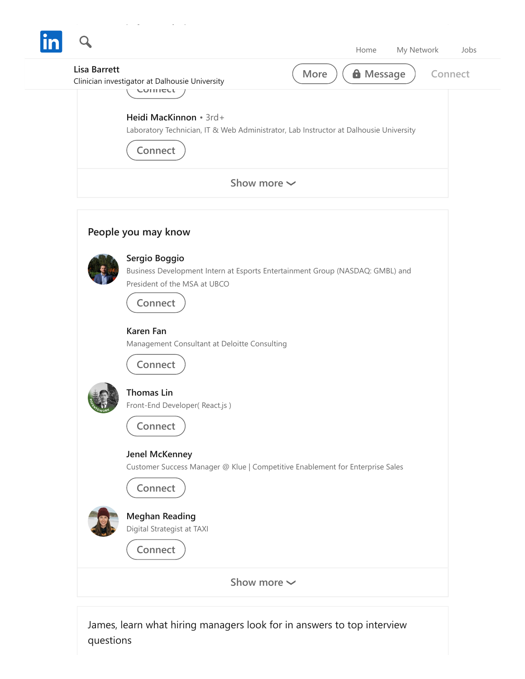| <b>Lisa Barrett</b> | <b>A</b> Message<br>More<br>Connect<br>Clinician investigator at Dalhousie University<br>COMICCL                                          |
|---------------------|-------------------------------------------------------------------------------------------------------------------------------------------|
|                     | Heidi MacKinnon • 3rd+<br>Laboratory Technician, IT & Web Administrator, Lab Instructor at Dalhousie University<br>Connect                |
|                     | Show more $\sim$                                                                                                                          |
|                     | People you may know                                                                                                                       |
|                     | Sergio Boggio<br>Business Development Intern at Esports Entertainment Group (NASDAQ: GMBL) and<br>President of the MSA at UBCO<br>Connect |
|                     | <b>Karen Fan</b><br>Management Consultant at Deloitte Consulting<br>Connect                                                               |
|                     | <b>Thomas Lin</b><br>Front-End Developer(React.js)<br>Connect                                                                             |
|                     | Jenel McKenney<br>Customer Success Manager @ Klue   Competitive Enablement for Enterprise Sales<br>Connect                                |
|                     | <b>Meghan Reading</b><br>Digital Strategist at TAXI<br>Connect                                                                            |
|                     | Show more $\sim$                                                                                                                          |

James, learn what hiring managers look for in answers to top interview questions